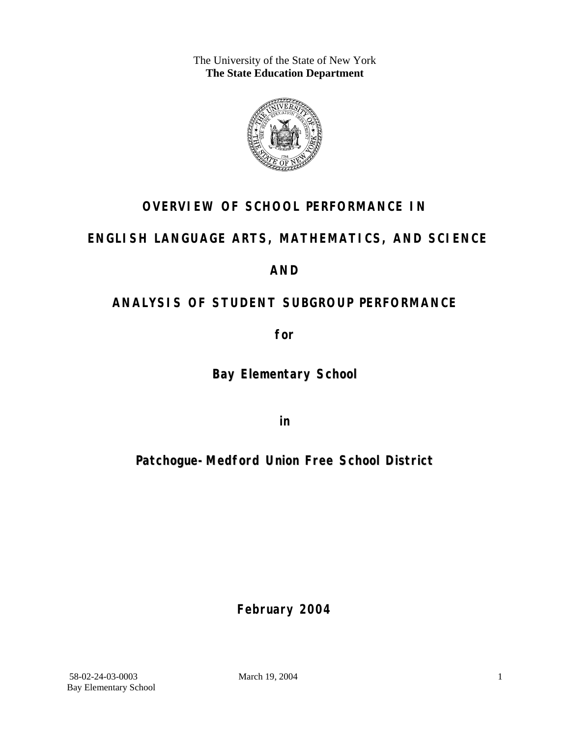The University of the State of New York **The State Education Department** 



## **OVERVIEW OF SCHOOL PERFORMANCE IN**

### **ENGLISH LANGUAGE ARTS, MATHEMATICS, AND SCIENCE**

### **AND**

## **ANALYSIS OF STUDENT SUBGROUP PERFORMANCE**

**for** 

**Bay Elementary School**

**in** 

## **Patchogue-Medford Union Free School District**

**February 2004**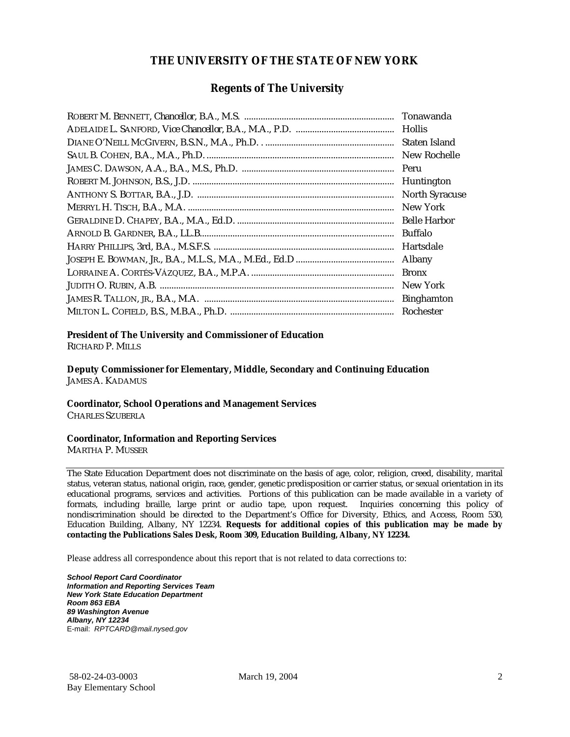#### **THE UNIVERSITY OF THE STATE OF NEW YORK**

#### **Regents of The University**

| Tonawanda             |
|-----------------------|
| <b>Hollis</b>         |
| Staten Island         |
| New Rochelle          |
| Peru                  |
| Huntington            |
| <b>North Syracuse</b> |
| New York              |
| <b>Belle Harbor</b>   |
| <b>Buffalo</b>        |
| Hartsdale             |
| Albany                |
| <b>Bronx</b>          |
| New York              |
| <b>Binghamton</b>     |
| Rochester             |

#### **President of The University and Commissioner of Education**

RICHARD P. MILLS

**Deputy Commissioner for Elementary, Middle, Secondary and Continuing Education**  JAMES A. KADAMUS

#### **Coordinator, School Operations and Management Services**

CHARLES SZUBERLA

#### **Coordinator, Information and Reporting Services**

MARTHA P. MUSSER

The State Education Department does not discriminate on the basis of age, color, religion, creed, disability, marital status, veteran status, national origin, race, gender, genetic predisposition or carrier status, or sexual orientation in its educational programs, services and activities. Portions of this publication can be made available in a variety of formats, including braille, large print or audio tape, upon request. Inquiries concerning this policy of nondiscrimination should be directed to the Department's Office for Diversity, Ethics, and Access, Room 530, Education Building, Albany, NY 12234. **Requests for additional copies of this publication may be made by contacting the Publications Sales Desk, Room 309, Education Building, Albany, NY 12234.** 

Please address all correspondence about this report that is not related to data corrections to:

*School Report Card Coordinator Information and Reporting Services Team New York State Education Department Room 863 EBA 89 Washington Avenue Albany, NY 12234*  E-mail: *RPTCARD@mail.nysed.gov*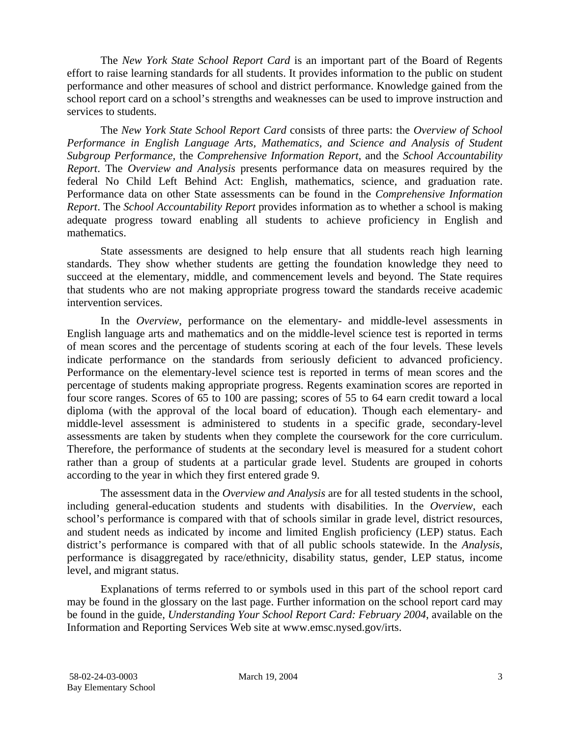The *New York State School Report Card* is an important part of the Board of Regents effort to raise learning standards for all students. It provides information to the public on student performance and other measures of school and district performance. Knowledge gained from the school report card on a school's strengths and weaknesses can be used to improve instruction and services to students.

The *New York State School Report Card* consists of three parts: the *Overview of School Performance in English Language Arts, Mathematics, and Science and Analysis of Student Subgroup Performance,* the *Comprehensive Information Report,* and the *School Accountability Report*. The *Overview and Analysis* presents performance data on measures required by the federal No Child Left Behind Act: English, mathematics, science, and graduation rate. Performance data on other State assessments can be found in the *Comprehensive Information Report*. The *School Accountability Report* provides information as to whether a school is making adequate progress toward enabling all students to achieve proficiency in English and mathematics.

State assessments are designed to help ensure that all students reach high learning standards. They show whether students are getting the foundation knowledge they need to succeed at the elementary, middle, and commencement levels and beyond. The State requires that students who are not making appropriate progress toward the standards receive academic intervention services.

In the *Overview*, performance on the elementary- and middle-level assessments in English language arts and mathematics and on the middle-level science test is reported in terms of mean scores and the percentage of students scoring at each of the four levels. These levels indicate performance on the standards from seriously deficient to advanced proficiency. Performance on the elementary-level science test is reported in terms of mean scores and the percentage of students making appropriate progress. Regents examination scores are reported in four score ranges. Scores of 65 to 100 are passing; scores of 55 to 64 earn credit toward a local diploma (with the approval of the local board of education). Though each elementary- and middle-level assessment is administered to students in a specific grade, secondary-level assessments are taken by students when they complete the coursework for the core curriculum. Therefore, the performance of students at the secondary level is measured for a student cohort rather than a group of students at a particular grade level. Students are grouped in cohorts according to the year in which they first entered grade 9.

The assessment data in the *Overview and Analysis* are for all tested students in the school, including general-education students and students with disabilities. In the *Overview*, each school's performance is compared with that of schools similar in grade level, district resources, and student needs as indicated by income and limited English proficiency (LEP) status. Each district's performance is compared with that of all public schools statewide. In the *Analysis*, performance is disaggregated by race/ethnicity, disability status, gender, LEP status, income level, and migrant status.

Explanations of terms referred to or symbols used in this part of the school report card may be found in the glossary on the last page. Further information on the school report card may be found in the guide, *Understanding Your School Report Card: February 2004*, available on the Information and Reporting Services Web site at www.emsc.nysed.gov/irts.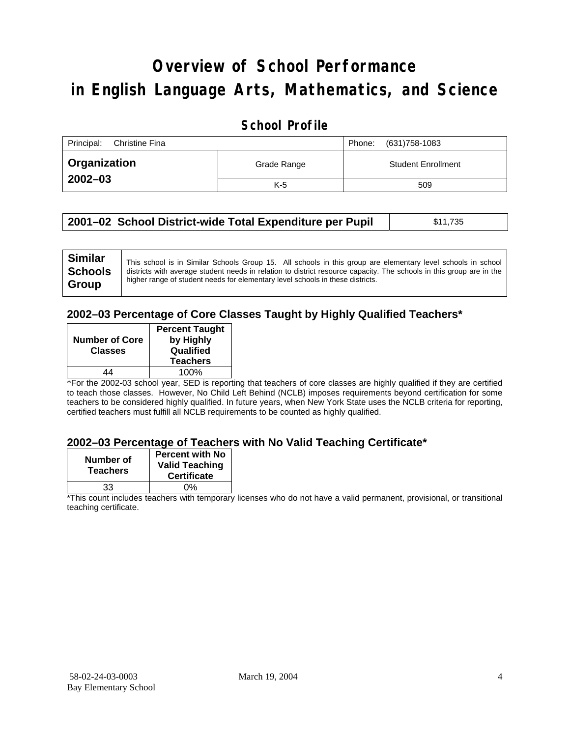# **Overview of School Performance in English Language Arts, Mathematics, and Science**

### **School Profile**

| Principal:<br>Christine Fina |             | (631) 758-1083<br>Phone:  |
|------------------------------|-------------|---------------------------|
| <b>Organization</b>          | Grade Range | <b>Student Enrollment</b> |
| $2002 - 03$                  | $K-5$       | 509                       |

|  | 2001–02 School District-wide Total Expenditure per Pupil | \$11,735 |
|--|----------------------------------------------------------|----------|
|--|----------------------------------------------------------|----------|

### **2002–03 Percentage of Core Classes Taught by Highly Qualified Teachers\***

| <b>Number of Core</b><br><b>Classes</b> | <b>Percent Taught</b><br>by Highly<br>Qualified<br><b>Teachers</b> |
|-----------------------------------------|--------------------------------------------------------------------|
|                                         |                                                                    |
| 14                                      | 100%                                                               |
|                                         |                                                                    |

\*For the 2002-03 school year, SED is reporting that teachers of core classes are highly qualified if they are certified to teach those classes. However, No Child Left Behind (NCLB) imposes requirements beyond certification for some teachers to be considered highly qualified. In future years, when New York State uses the NCLB criteria for reporting, certified teachers must fulfill all NCLB requirements to be counted as highly qualified.

#### **2002–03 Percentage of Teachers with No Valid Teaching Certificate\***

| Number of<br><b>Teachers</b> | <b>Percent with No</b><br><b>Valid Teaching</b><br><b>Certificate</b> |
|------------------------------|-----------------------------------------------------------------------|
| 33                           | ሰ%                                                                    |

\*This count includes teachers with temporary licenses who do not have a valid permanent, provisional, or transitional teaching certificate.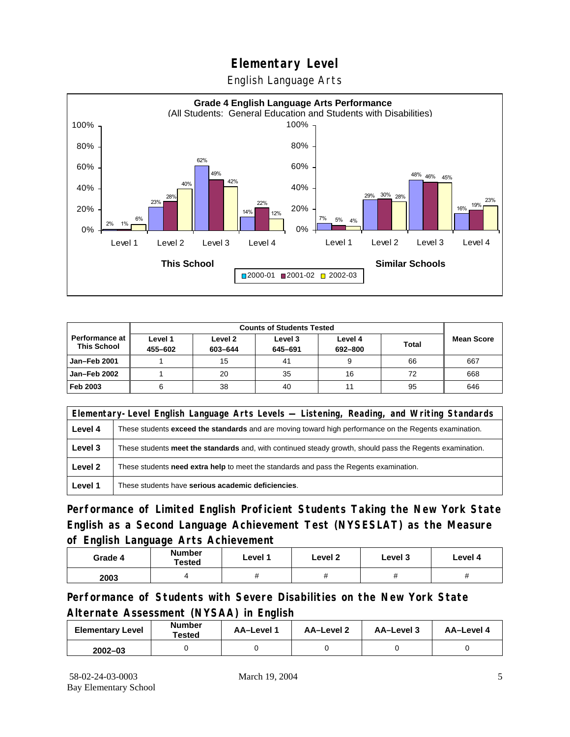English Language Arts



|                                        |                    | <b>Counts of Students Tested</b> |                    |                    |              |                   |
|----------------------------------------|--------------------|----------------------------------|--------------------|--------------------|--------------|-------------------|
| Performance at I<br><b>This School</b> | Level 1<br>455-602 | Level 2<br>603-644               | Level 3<br>645-691 | Level 4<br>692-800 | <b>Total</b> | <b>Mean Score</b> |
| Jan-Feb 2001                           |                    | 15                               | 41                 |                    | 66           | 667               |
| Jan-Feb 2002                           |                    | 20                               | 35                 | 16                 | 72           | 668               |
| Feb 2003                               |                    | 38                               | 40                 | 11                 | 95           | 646               |

|         | Elementary-Level English Language Arts Levels — Listening, Reading, and Writing Standards                 |  |  |  |  |
|---------|-----------------------------------------------------------------------------------------------------------|--|--|--|--|
| Level 4 | These students exceed the standards and are moving toward high performance on the Regents examination.    |  |  |  |  |
| Level 3 | These students meet the standards and, with continued steady growth, should pass the Regents examination. |  |  |  |  |
| Level 2 | These students <b>need extra help</b> to meet the standards and pass the Regents examination.             |  |  |  |  |
| Level 1 | These students have serious academic deficiencies.                                                        |  |  |  |  |

**Performance of Limited English Proficient Students Taking the New York State English as a Second Language Achievement Test (NYSESLAT) as the Measure of English Language Arts Achievement**

| Grade 4 | <b>Number</b><br>Tested | Level 1 | Level 2 | Level 3  | Level 4  |
|---------|-------------------------|---------|---------|----------|----------|
| 2003    |                         | #       | π       | $^{\pi}$ | $^{\pi}$ |

**Performance of Students with Severe Disabilities on the New York State Alternate Assessment (NYSAA) in English** 

| <b>Elementary Level</b> | <b>Number</b><br>Tested | AA-Level 1 | AA-Level 2 | AA-Level 3 | AA-Level 4 |
|-------------------------|-------------------------|------------|------------|------------|------------|
| $2002 - 03$             |                         |            |            |            |            |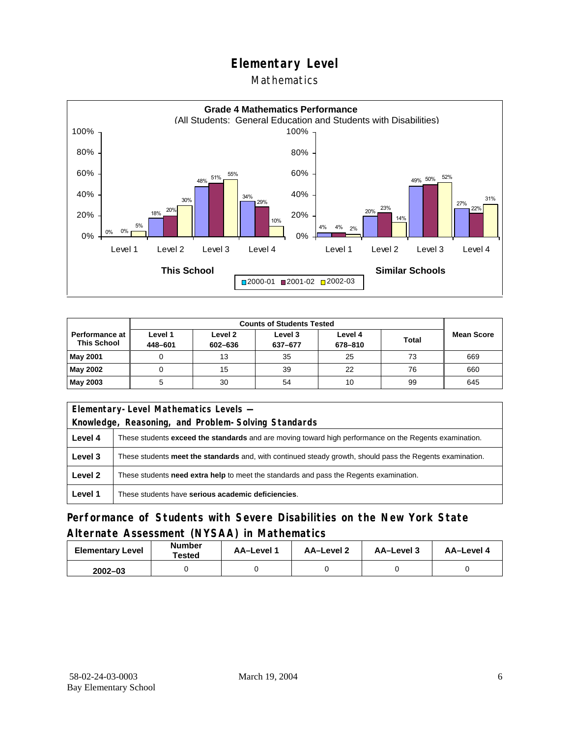### Mathematics



|                                               |                    | <b>Counts of Students Tested</b> |                    |                    |              |                   |  |
|-----------------------------------------------|--------------------|----------------------------------|--------------------|--------------------|--------------|-------------------|--|
| <b>Performance at I</b><br><b>This School</b> | Level 1<br>448-601 | Level 2<br>602-636               | Level 3<br>637-677 | Level 4<br>678-810 | <b>Total</b> | <b>Mean Score</b> |  |
| <b>May 2001</b>                               |                    | 13                               | 35                 | 25                 | 73           | 669               |  |
| May 2002                                      |                    | 15                               | 39                 | 22                 | 76           | 660               |  |
| May 2003                                      |                    | 30                               | 54                 | 10                 | 99           | 645               |  |

|         | Elementary-Level Mathematics Levels -                                                                         |  |  |  |  |
|---------|---------------------------------------------------------------------------------------------------------------|--|--|--|--|
|         | Knowledge, Reasoning, and Problem-Solving Standards                                                           |  |  |  |  |
| Level 4 | These students <b>exceed the standards</b> and are moving toward high performance on the Regents examination. |  |  |  |  |
| Level 3 | These students meet the standards and, with continued steady growth, should pass the Regents examination.     |  |  |  |  |
| Level 2 | These students need extra help to meet the standards and pass the Regents examination.                        |  |  |  |  |
| Level 1 | These students have serious academic deficiencies.                                                            |  |  |  |  |

### **Performance of Students with Severe Disabilities on the New York State Alternate Assessment (NYSAA) in Mathematics**

| <b>Elementary Level</b> | <b>Number</b><br>Tested | AA-Level 1 | AA-Level 2 | AA-Level 3 | AA-Level 4 |  |
|-------------------------|-------------------------|------------|------------|------------|------------|--|
| $2002 - 03$             |                         |            |            |            |            |  |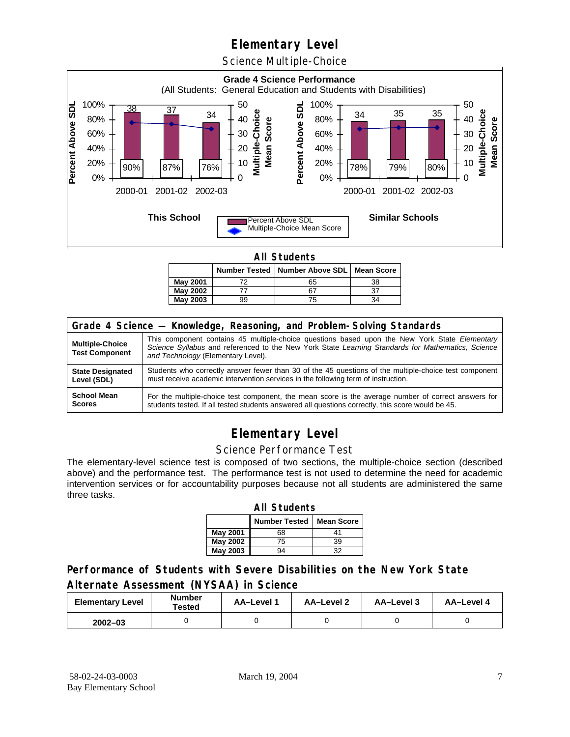Science Multiple-Choice



**All Students** 

|          |    | Number Tested   Number Above SDL   Mean Score |    |  |  |  |  |  |
|----------|----|-----------------------------------------------|----|--|--|--|--|--|
| May 2001 |    | 65                                            | 38 |  |  |  |  |  |
| May 2002 |    |                                               | 37 |  |  |  |  |  |
| May 2003 | 99 |                                               | 34 |  |  |  |  |  |

| Grade 4 Science - Knowledge, Reasoning, and Problem-Solving Standards |                                                                                                                                                                                                                                          |  |  |  |  |  |
|-----------------------------------------------------------------------|------------------------------------------------------------------------------------------------------------------------------------------------------------------------------------------------------------------------------------------|--|--|--|--|--|
| <b>Multiple-Choice</b><br><b>Test Component</b>                       | This component contains 45 multiple-choice questions based upon the New York State Elementary<br>Science Syllabus and referenced to the New York State Learning Standards for Mathematics, Science<br>and Technology (Elementary Level). |  |  |  |  |  |
| <b>State Designated</b>                                               | Students who correctly answer fewer than 30 of the 45 questions of the multiple-choice test component                                                                                                                                    |  |  |  |  |  |
| Level (SDL)                                                           | must receive academic intervention services in the following term of instruction.                                                                                                                                                        |  |  |  |  |  |
| <b>School Mean</b>                                                    | For the multiple-choice test component, the mean score is the average number of correct answers for                                                                                                                                      |  |  |  |  |  |
| <b>Scores</b>                                                         | students tested. If all tested students answered all questions correctly, this score would be 45.                                                                                                                                        |  |  |  |  |  |

## **Elementary Level**

#### Science Performance Test

The elementary-level science test is composed of two sections, the multiple-choice section (described above) and the performance test. The performance test is not used to determine the need for academic intervention services or for accountability purposes because not all students are administered the same three tasks.

| <b>All Students</b>         |                                           |    |  |  |  |  |  |  |  |
|-----------------------------|-------------------------------------------|----|--|--|--|--|--|--|--|
|                             | <b>Number Tested</b><br><b>Mean Score</b> |    |  |  |  |  |  |  |  |
| May 2001                    | 68                                        | 41 |  |  |  |  |  |  |  |
| May 2002                    | 75                                        | 39 |  |  |  |  |  |  |  |
| <b>May 2003</b><br>32<br>94 |                                           |    |  |  |  |  |  |  |  |

### **Performance of Students with Severe Disabilities on the New York State Alternate Assessment (NYSAA) in Science**

| <b>Elementary Level</b> | <b>Number</b><br>Tested | AA-Level 1 | <b>AA-Level 2</b> | AA-Level 3 | AA-Level 4 |  |
|-------------------------|-------------------------|------------|-------------------|------------|------------|--|
| $2002 - 03$             |                         |            |                   |            |            |  |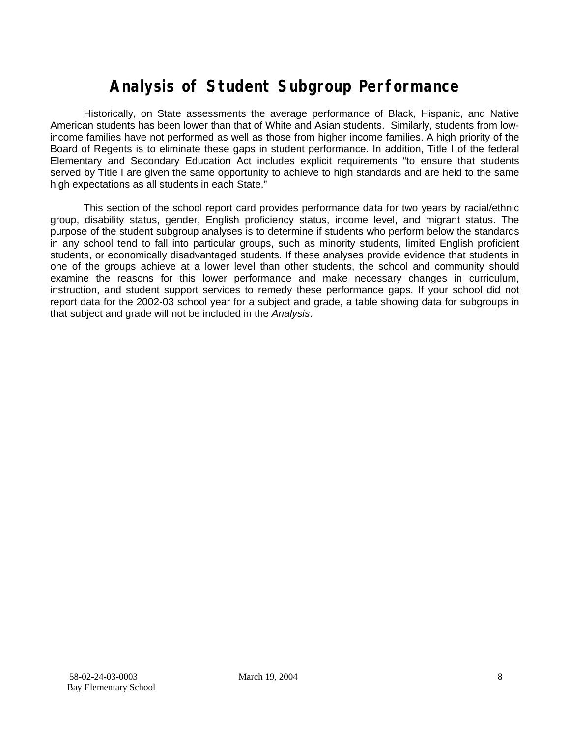# **Analysis of Student Subgroup Performance**

Historically, on State assessments the average performance of Black, Hispanic, and Native American students has been lower than that of White and Asian students. Similarly, students from lowincome families have not performed as well as those from higher income families. A high priority of the Board of Regents is to eliminate these gaps in student performance. In addition, Title I of the federal Elementary and Secondary Education Act includes explicit requirements "to ensure that students served by Title I are given the same opportunity to achieve to high standards and are held to the same high expectations as all students in each State."

This section of the school report card provides performance data for two years by racial/ethnic group, disability status, gender, English proficiency status, income level, and migrant status. The purpose of the student subgroup analyses is to determine if students who perform below the standards in any school tend to fall into particular groups, such as minority students, limited English proficient students, or economically disadvantaged students. If these analyses provide evidence that students in one of the groups achieve at a lower level than other students, the school and community should examine the reasons for this lower performance and make necessary changes in curriculum, instruction, and student support services to remedy these performance gaps. If your school did not report data for the 2002-03 school year for a subject and grade, a table showing data for subgroups in that subject and grade will not be included in the *Analysis*.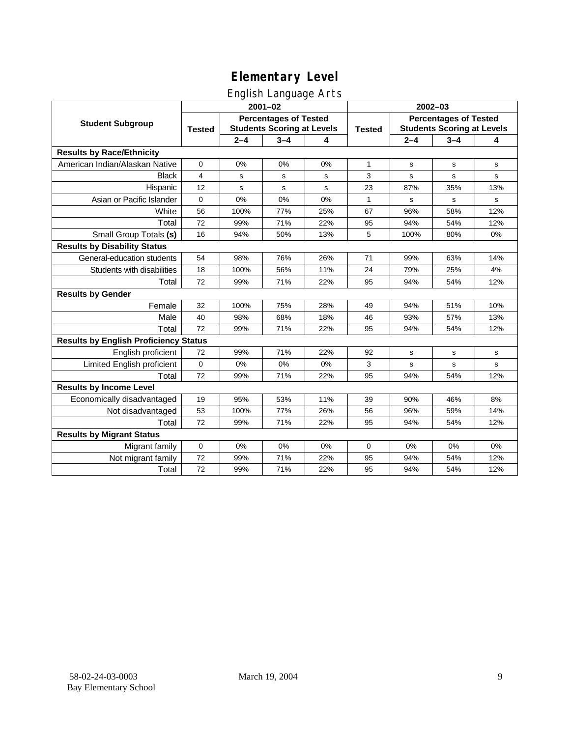### English Language Arts

|                                              | ັ<br>$2001 - 02$                                                                   |         |         |               | 2002-03                                                           |             |             |           |
|----------------------------------------------|------------------------------------------------------------------------------------|---------|---------|---------------|-------------------------------------------------------------------|-------------|-------------|-----------|
| <b>Student Subgroup</b>                      | <b>Percentages of Tested</b><br><b>Students Scoring at Levels</b><br><b>Tested</b> |         |         | <b>Tested</b> | <b>Percentages of Tested</b><br><b>Students Scoring at Levels</b> |             |             |           |
|                                              |                                                                                    | $2 - 4$ | $3 - 4$ | 4             |                                                                   | $2 - 4$     | $3 - 4$     | 4         |
| <b>Results by Race/Ethnicity</b>             |                                                                                    |         |         |               |                                                                   |             |             |           |
| American Indian/Alaskan Native               | $\mathbf 0$                                                                        | 0%      | 0%      | 0%            | $\mathbf{1}$                                                      | s           | s           | ${\tt s}$ |
| <b>Black</b>                                 | 4                                                                                  | s       | s       | s             | 3                                                                 | s           | s           | s         |
| Hispanic                                     | 12                                                                                 | s       | s       | s             | 23                                                                | 87%         | 35%         | 13%       |
| Asian or Pacific Islander                    | $\mathbf 0$                                                                        | 0%      | 0%      | 0%            | $\mathbf{1}$                                                      | s           | s           | s         |
| White                                        | 56                                                                                 | 100%    | 77%     | 25%           | 67                                                                | 96%         | 58%         | 12%       |
| Total                                        | 72                                                                                 | 99%     | 71%     | 22%           | 95                                                                | 94%         | 54%         | 12%       |
| Small Group Totals (s)                       | 16                                                                                 | 94%     | 50%     | 13%           | 5                                                                 | 100%        | 80%         | 0%        |
| <b>Results by Disability Status</b>          |                                                                                    |         |         |               |                                                                   |             |             |           |
| General-education students                   | 54                                                                                 | 98%     | 76%     | 26%           | 71                                                                | 99%         | 63%         | 14%       |
| Students with disabilities                   | 18                                                                                 | 100%    | 56%     | 11%           | 24                                                                | 79%         | 25%         | 4%        |
| Total                                        | 72                                                                                 | 99%     | 71%     | 22%           | 95                                                                | 94%         | 54%         | 12%       |
| <b>Results by Gender</b>                     |                                                                                    |         |         |               |                                                                   |             |             |           |
| Female                                       | 32                                                                                 | 100%    | 75%     | 28%           | 49                                                                | 94%         | 51%         | 10%       |
| Male                                         | 40                                                                                 | 98%     | 68%     | 18%           | 46                                                                | 93%         | 57%         | 13%       |
| Total                                        | 72                                                                                 | 99%     | 71%     | 22%           | 95                                                                | 94%         | 54%         | 12%       |
| <b>Results by English Proficiency Status</b> |                                                                                    |         |         |               |                                                                   |             |             |           |
| English proficient                           | 72                                                                                 | 99%     | 71%     | 22%           | 92                                                                | s           | s           | s         |
| Limited English proficient                   | $\pmb{0}$                                                                          | 0%      | 0%      | 0%            | 3                                                                 | $\mathbf s$ | $\mathbf s$ | s         |
| Total                                        | 72                                                                                 | 99%     | 71%     | 22%           | 95                                                                | 94%         | 54%         | 12%       |
| <b>Results by Income Level</b>               |                                                                                    |         |         |               |                                                                   |             |             |           |
| Economically disadvantaged                   | 19                                                                                 | 95%     | 53%     | 11%           | 39                                                                | 90%         | 46%         | 8%        |
| Not disadvantaged                            | 53                                                                                 | 100%    | 77%     | 26%           | 56                                                                | 96%         | 59%         | 14%       |
| Total                                        | 72                                                                                 | 99%     | 71%     | 22%           | 95                                                                | 94%         | 54%         | 12%       |
| <b>Results by Migrant Status</b>             |                                                                                    |         |         |               |                                                                   |             |             |           |
| Migrant family                               | $\mathbf 0$                                                                        | 0%      | 0%      | 0%            | 0                                                                 | 0%          | 0%          | 0%        |
| Not migrant family                           | 72                                                                                 | 99%     | 71%     | 22%           | 95                                                                | 94%         | 54%         | 12%       |
| Total                                        | 72                                                                                 | 99%     | 71%     | 22%           | 95                                                                | 94%         | 54%         | 12%       |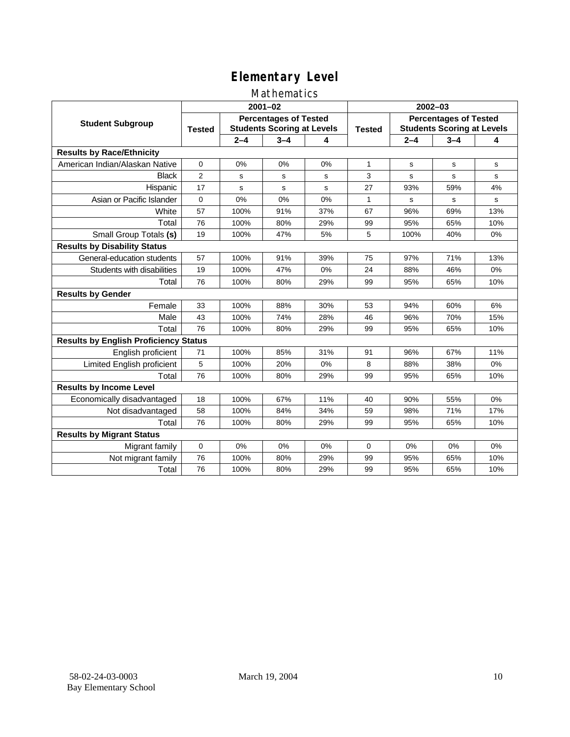### Mathematics

|                                              | $2001 - 02$                                                                        |         |             |               | $2002 - 03$                                                       |         |         |           |
|----------------------------------------------|------------------------------------------------------------------------------------|---------|-------------|---------------|-------------------------------------------------------------------|---------|---------|-----------|
| <b>Student Subgroup</b>                      | <b>Percentages of Tested</b><br><b>Students Scoring at Levels</b><br><b>Tested</b> |         |             | <b>Tested</b> | <b>Percentages of Tested</b><br><b>Students Scoring at Levels</b> |         |         |           |
|                                              |                                                                                    | $2 - 4$ | $3 - 4$     | 4             |                                                                   | $2 - 4$ | $3 - 4$ | 4         |
| <b>Results by Race/Ethnicity</b>             |                                                                                    |         |             |               |                                                                   |         |         |           |
| American Indian/Alaskan Native               | $\mathbf{0}$                                                                       | 0%      | 0%          | 0%            | $\mathbf{1}$                                                      | s       | s       | s         |
| <b>Black</b>                                 | $\overline{2}$                                                                     | s       | s           | s             | 3                                                                 | s       | s       | s         |
| Hispanic                                     | 17                                                                                 | s       | $\mathbf s$ | s             | 27                                                                | 93%     | 59%     | 4%        |
| Asian or Pacific Islander                    | 0                                                                                  | 0%      | 0%          | 0%            | 1                                                                 | s       | s       | ${\tt s}$ |
| White                                        | 57                                                                                 | 100%    | 91%         | 37%           | 67                                                                | 96%     | 69%     | 13%       |
| Total                                        | 76                                                                                 | 100%    | 80%         | 29%           | 99                                                                | 95%     | 65%     | 10%       |
| Small Group Totals (s)                       | 19                                                                                 | 100%    | 47%         | 5%            | 5                                                                 | 100%    | 40%     | 0%        |
| <b>Results by Disability Status</b>          |                                                                                    |         |             |               |                                                                   |         |         |           |
| General-education students                   | 57                                                                                 | 100%    | 91%         | 39%           | 75                                                                | 97%     | 71%     | 13%       |
| Students with disabilities                   | 19                                                                                 | 100%    | 47%         | 0%            | 24                                                                | 88%     | 46%     | 0%        |
| Total                                        | 76                                                                                 | 100%    | 80%         | 29%           | 99                                                                | 95%     | 65%     | 10%       |
| <b>Results by Gender</b>                     |                                                                                    |         |             |               |                                                                   |         |         |           |
| Female                                       | 33                                                                                 | 100%    | 88%         | 30%           | 53                                                                | 94%     | 60%     | 6%        |
| Male                                         | 43                                                                                 | 100%    | 74%         | 28%           | 46                                                                | 96%     | 70%     | 15%       |
| Total                                        | 76                                                                                 | 100%    | 80%         | 29%           | 99                                                                | 95%     | 65%     | 10%       |
| <b>Results by English Proficiency Status</b> |                                                                                    |         |             |               |                                                                   |         |         |           |
| English proficient                           | 71                                                                                 | 100%    | 85%         | 31%           | 91                                                                | 96%     | 67%     | 11%       |
| Limited English proficient                   | 5                                                                                  | 100%    | 20%         | 0%            | 8                                                                 | 88%     | 38%     | 0%        |
| Total                                        | 76                                                                                 | 100%    | 80%         | 29%           | 99                                                                | 95%     | 65%     | 10%       |
| <b>Results by Income Level</b>               |                                                                                    |         |             |               |                                                                   |         |         |           |
| Economically disadvantaged                   | 18                                                                                 | 100%    | 67%         | 11%           | 40                                                                | 90%     | 55%     | 0%        |
| Not disadvantaged                            | 58                                                                                 | 100%    | 84%         | 34%           | 59                                                                | 98%     | 71%     | 17%       |
| Total                                        | 76                                                                                 | 100%    | 80%         | 29%           | 99                                                                | 95%     | 65%     | 10%       |
| <b>Results by Migrant Status</b>             |                                                                                    |         |             |               |                                                                   |         |         |           |
| Migrant family                               | 0                                                                                  | 0%      | 0%          | 0%            | 0                                                                 | 0%      | 0%      | 0%        |
| Not migrant family                           | 76                                                                                 | 100%    | 80%         | 29%           | 99                                                                | 95%     | 65%     | 10%       |
| Total                                        | 76                                                                                 | 100%    | 80%         | 29%           | 99                                                                | 95%     | 65%     | 10%       |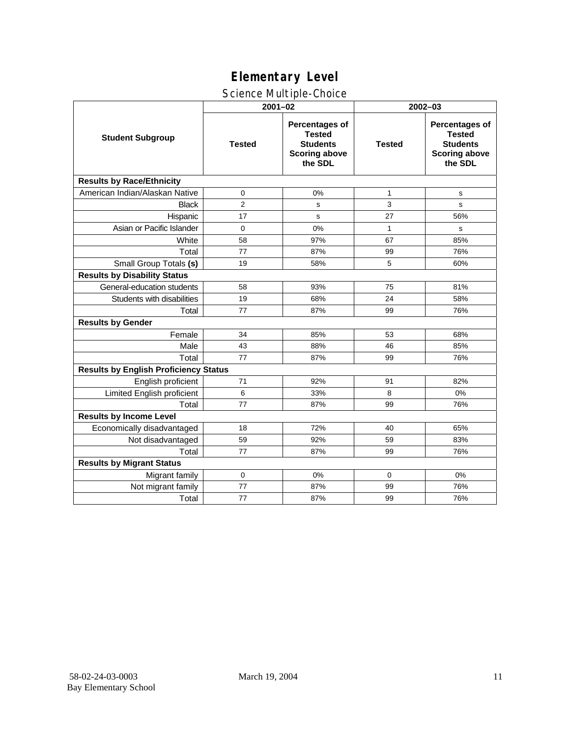### Science Multiple-Choice

|                                              | $2001 - 02$    |                                                                                              | $2002 - 03$   |                                                                                              |  |  |  |
|----------------------------------------------|----------------|----------------------------------------------------------------------------------------------|---------------|----------------------------------------------------------------------------------------------|--|--|--|
| <b>Student Subgroup</b>                      | <b>Tested</b>  | <b>Percentages of</b><br><b>Tested</b><br><b>Students</b><br><b>Scoring above</b><br>the SDL | <b>Tested</b> | <b>Percentages of</b><br><b>Tested</b><br><b>Students</b><br><b>Scoring above</b><br>the SDL |  |  |  |
| <b>Results by Race/Ethnicity</b>             |                |                                                                                              |               |                                                                                              |  |  |  |
| American Indian/Alaskan Native               | 0              | 0%                                                                                           | $\mathbf{1}$  | s                                                                                            |  |  |  |
| <b>Black</b>                                 | $\overline{2}$ | s                                                                                            | 3             | s                                                                                            |  |  |  |
| Hispanic                                     | 17             | s                                                                                            | 27            | 56%                                                                                          |  |  |  |
| Asian or Pacific Islander                    | $\mathbf 0$    | 0%                                                                                           | $\mathbf{1}$  | s                                                                                            |  |  |  |
| White                                        | 58             | 97%                                                                                          | 67            | 85%                                                                                          |  |  |  |
| Total                                        | 77             | 87%                                                                                          | 99            | 76%                                                                                          |  |  |  |
| Small Group Totals (s)                       | 19             | 58%                                                                                          | 5             | 60%                                                                                          |  |  |  |
| <b>Results by Disability Status</b>          |                |                                                                                              |               |                                                                                              |  |  |  |
| General-education students                   | 58             | 93%                                                                                          | 75            | 81%                                                                                          |  |  |  |
| Students with disabilities                   | 19             | 68%                                                                                          | 24            | 58%                                                                                          |  |  |  |
| Total                                        | 77             | 87%                                                                                          | 99            | 76%                                                                                          |  |  |  |
| <b>Results by Gender</b>                     |                |                                                                                              |               |                                                                                              |  |  |  |
| Female                                       | 34             | 85%                                                                                          | 53            | 68%                                                                                          |  |  |  |
| Male                                         | 43             | 88%                                                                                          | 46            | 85%                                                                                          |  |  |  |
| Total                                        | 77             | 87%                                                                                          | 99            | 76%                                                                                          |  |  |  |
| <b>Results by English Proficiency Status</b> |                |                                                                                              |               |                                                                                              |  |  |  |
| English proficient                           | 71             | 92%                                                                                          | 91            | 82%                                                                                          |  |  |  |
| Limited English proficient                   | 6              | 33%                                                                                          | 8             | 0%                                                                                           |  |  |  |
| Total                                        | 77             | 87%                                                                                          | 99            | 76%                                                                                          |  |  |  |
| <b>Results by Income Level</b>               |                |                                                                                              |               |                                                                                              |  |  |  |
| Economically disadvantaged                   | 18             | 72%                                                                                          | 40            | 65%                                                                                          |  |  |  |
| Not disadvantaged                            | 59             | 92%                                                                                          | 59            | 83%                                                                                          |  |  |  |
| Total                                        | 77             | 87%                                                                                          | 99            | 76%                                                                                          |  |  |  |
| <b>Results by Migrant Status</b>             |                |                                                                                              |               |                                                                                              |  |  |  |
| Migrant family                               | 0              | 0%                                                                                           | 0             | 0%                                                                                           |  |  |  |
| Not migrant family                           | 77             | 87%                                                                                          | 99            | 76%                                                                                          |  |  |  |
| Total                                        | 77             | 87%                                                                                          | 99            | 76%                                                                                          |  |  |  |